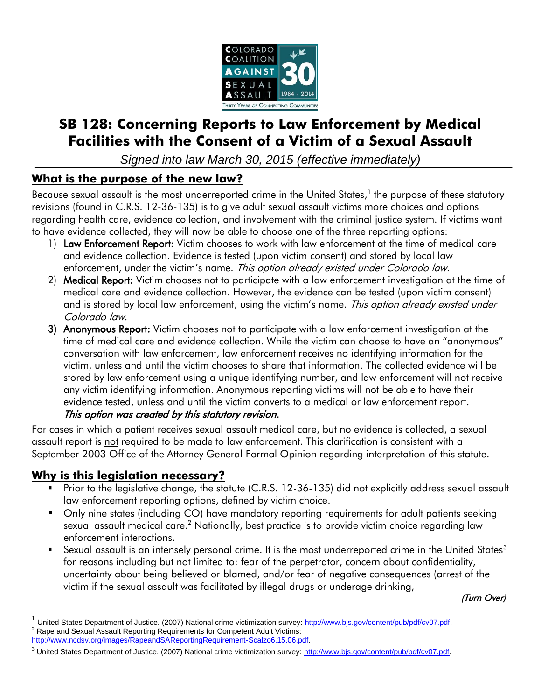

# **SB 128: Concerning Reports to Law Enforcement by Medical Facilities with the Consent of a Victim of a Sexual Assault**

*Signed into law March 30, 2015 (effective immediately)*

## **What is the purpose of the new law?**

Because sexual assault is the most underreported crime in the United States, 1 the purpose of these statutory revisions (found in C.R.S. 12-36-135) is to give adult sexual assault victims more choices and options regarding health care, evidence collection, and involvement with the criminal justice system. If victims want to have evidence collected, they will now be able to choose one of the three reporting options:

- 1) Law Enforcement Report: Victim chooses to work with law enforcement at the time of medical care and evidence collection. Evidence is tested (upon victim consent) and stored by local law enforcement, under the victim's name. This option already existed under Colorado law.
- 2) Medical Report: Victim chooses not to participate with a law enforcement investigation at the time of medical care and evidence collection. However, the evidence can be tested (upon victim consent) and is stored by local law enforcement, using the victim's name. This option already existed under Colorado law.
- 3) Anonymous Report: Victim chooses not to participate with a law enforcement investigation at the time of medical care and evidence collection. While the victim can choose to have an "anonymous" conversation with law enforcement, law enforcement receives no identifying information for the victim, unless and until the victim chooses to share that information. The collected evidence will be stored by law enforcement using a unique identifying number, and law enforcement will not receive any victim identifying information. Anonymous reporting victims will not be able to have their evidence tested, unless and until the victim converts to a medical or law enforcement report. This option was created by this statutory revision.

For cases in which a patient receives sexual assault medical care, but no evidence is collected, a sexual assault report is not required to be made to law enforcement. This clarification is consistent with a September 2003 Office of the Attorney General Formal Opinion regarding interpretation of this statute.

# **Why is this legislation necessary?**

 $\overline{a}$ 

- Prior to the legislative change, the statute (C.R.S. 12-36-135) did not explicitly address sexual assault law enforcement reporting options, defined by victim choice.
- Only nine states (including CO) have mandatory reporting requirements for adult patients seeking sexual assault medical care.<sup>2</sup> Nationally, best practice is to provide victim choice regarding law enforcement interactions.
- Sexual assault is an intensely personal crime. It is the most underreported crime in the United States<sup>3</sup> for reasons including but not limited to: fear of the perpetrator, concern about confidentiality, uncertainty about being believed or blamed, and/or fear of negative consequences (arrest of the victim if the sexual assault was facilitated by illegal drugs or underage drinking,

(Turn Over)

<sup>&</sup>lt;sup>1</sup> United States Department of Justice. (2007) National crime victimization survey: [http://www.bjs.gov/content/pub/pdf/cv07.pdf.](http://www.bjs.gov/content/pub/pdf/cv07.pdf)  $2$  Rape and Sexual Assault Reporting Requirements for Competent Adult Victims: [http://www.ncdsv.org/images/RapeandSAReportingRequirement-Scalzo6.15.06.pdf.](http://www.ncdsv.org/images/RapeandSAReportingRequirement-Scalzo6.15.06.pdf)

<sup>&</sup>lt;sup>3</sup> United States Department of Justice. (2007) National crime victimization survey: [http://www.bjs.gov/content/pub/pdf/cv07.pdf.](http://www.bjs.gov/content/pub/pdf/cv07.pdf)